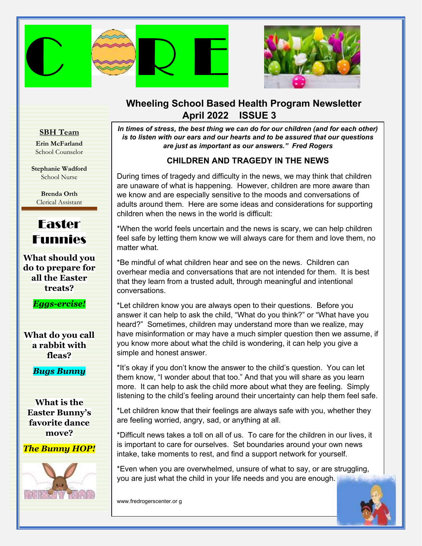



# **Wheeling School Based Health Program Newsletter April 2022 ISSUE 3**

#### **SBH Team**

**Erin McFarland** School Counselor

**Stephanie Wadford** School Nurse

> **Brenda Orth** Clerical Assistant



**What should you do to prepare for all the Easter treats?**

*Eggs-ercise!*

**What do you call a rabbit with fleas?**

*Bugs Bunny*

**What is the Easter Bunny's favorite dance move?**

*The Bunny HOP!*



*In times of stress, the best thing we can do for our children (and for each other) is to listen with our ears and our hearts and to be assured that our questions are just as important as our answers." Fred Rogers*

## **CHILDREN AND TRAGEDY IN THE NEWS**

 are unaware of what is happening. However, children are more aware than During times of tragedy and difficulty in the news, we may think that children we know and are especially sensitive to the moods and conversations of adults around them. Here are some ideas and considerations for supporting children when the news in the world is difficult:

\*When the world feels uncertain and the news is scary, we can help children feel safe by letting them know we will always care for them and love them, no matter what.

\*Be mindful of what children hear and see on the news. Children can overhear media and conversations that are not intended for them. It is best that they learn from a trusted adult, through meaningful and intentional conversations.

\*Let children know you are always open to their questions. Before you answer it can help to ask the child, "What do you think?" or "What have you heard?" Sometimes, children may understand more than we realize, may have misinformation or may have a much simpler question then we assume, if you know more about what the child is wondering, it can help you give a simple and honest answer.

\*It's okay if you don't know the answer to the child's question. You can let them know, "I wonder about that too." And that you will share as you learn more. It can help to ask the child more about what they are feeling. Simply listening to the child's feeling around their uncertainty can help them feel safe.

*Provided to the contract with the strength compared to the strength contract with your***,** \*Let children know that their feelings are always safe with you, whether they

\*Difficult news takes a toll on all of us. To care [for the children in our live](https://images.search.yahoo.com/images/view;_ylt=AwrJ6wr87m1gE8sAkf02nIlQ;_ylu=c2VjA3NyBHNsawNpbWcEb2lkAzlmMWY2OWUzMTMzYjAwODRjYTY1YzQzNDdhMGZmMTkzBGdwb3MDNwRpdANiaW5n?back=https%3A%2F%2Fimages.search.yahoo.com%2Fyhs%2Fsearch%3Fp%3Dclip%2Bart%2Bof%2Bschools%26ei%3DUTF-8%26type%3Dem_appfocus1_ie%26fr%3Dyhs-pty-pty_email%26hsimp%3Dyhs-pty_email%26hspart%3Dpty%26param1%3D20190723%26param2%3Dcdb2a2c0-64e2-4873-8086-aea72896ca6b%26param3%3Demail_%257EUS%257Eappfocus1%257E%26param4%3Ds-ccc4-lp0-cp_1708882479-bb8-iei%257EMSIE%257Ecan%2Byou%2Bbe%2Ba%2Bcarrier%2Bfor%2Bcovid%2Bafter%2Btwo%2Bshots%257ED41D8CD98F00B204E9800998ECF8427E%257EWin10%26tab%3Dorganic%26ri%3D7&w=2400&h=1387&imgurl=clipartix.com%2Fwp-content%2Fuploads%2F2017%2F07%2FSchool-clipart-free-clip-art-images.png&rurl=https%3A%2F%2Fclipartix.com%2Fschool-clipart-image-50391%2F&size=489.2KB&p=clip+art+of+schools&oid=9f1f69e3133b0084ca65c4347a0ff193&fr2=&fr=yhs-pty-pty_email&tt=School+clipart+free+clip+art+images+-+Clipartix&b=0&ni=120&no=7&ts=&tab=organic&sigr=1VT5jbXByLb.&sigb=WEGw12wT_vxm&sigi=uKcPIyfEb_Y9&sigt=LwTqPBdEiL4c&.crumb=9JJEkE0pymE&fr=yhs-pty-pty_email&hsimp=yhs-pty_email&hspart=pty&type=em_appfocus1_ie¶m1=20190723¶m2=cdb2a2c0-64e2-4873-8086-aea72896ca6b¶m3=email_%7EUS%7Eappfocus1%7E¶m4=s-ccc4-lp0-cp_1708882479-bb8-iei%7EMSIE%7Ecan+you+be+a+carrier+for+covid+after+two+shots%7ED41D8CD98F00B204E9800998ECF8427E%7EWin10)s, it is important to care for ourselves. Set boundaries around your own news intake, take moments to rest, and find a support network for yourself.

\*Even when you are overwhelmed, unsure of what to say, or are struggling, you are just what the child in your life needs and you are enough.

www.fredrogerscenter.or g

Ī

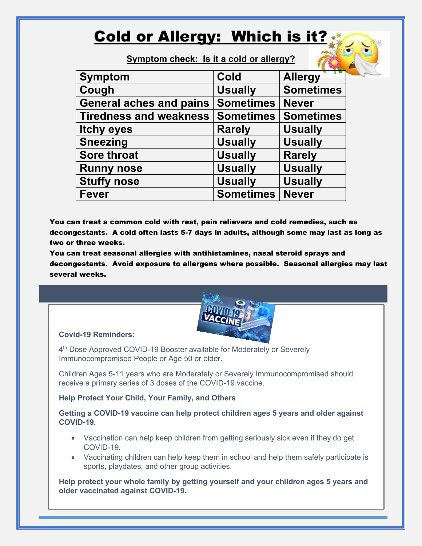# Cold or Allergy: Which is it?

**Symptom check: Is it a cold or allergy?**

| <b>Symptom</b>                 | <b>Cold</b>      | <b>Allergy</b>   |
|--------------------------------|------------------|------------------|
| Cough                          | <b>Usually</b>   | <b>Sometimes</b> |
| <b>General aches and pains</b> | <b>Sometimes</b> | <b>Never</b>     |
| <b>Tiredness and weakness</b>  | <b>Sometimes</b> | <b>Sometimes</b> |
| <b>Itchy eyes</b>              | <b>Rarely</b>    | <b>Usually</b>   |
| <b>Sneezing</b>                | <b>Usually</b>   | <b>Usually</b>   |
| <b>Sore throat</b>             | <b>Usually</b>   | <b>Rarely</b>    |
| <b>Runny nose</b>              | <b>Usually</b>   | <b>Usually</b>   |
| <b>Stuffy nose</b>             | <b>Usually</b>   | <b>Usually</b>   |
| <b>Fever</b>                   | <b>Sometimes</b> | <b>Never</b>     |

You can treat a common cold with rest, pain relievers and cold remedies, such as decongestants. A cold often lasts 5-7 days in adults, although some may last as long as two or three weeks.

You can treat seasonal allergies with antihistamines, nasal steroid sprays and decongestants. Avoid exposure to allergens where possible. Seasonal allergies may last several weeks.



#### **Covid-19 Reminders:**

4<sup>th</sup> Dose Approved COVID-19 Booster available for Moderately or Severely Immunocompromised People or Age 50 or older.

Children Ages 5-11 years who are Moderately or Severely Immunocompromised should receive a primary series of 3 doses of the COVID-19 vaccine.

#### **Help Protect Your Child, Your Family, and Others**

**Getting a COVID-19 vaccine can help protect children ages 5 years and older against COVID-19.**

- Vaccination can help keep children from getting seriously sick even if they do get COVID-19.
- Vaccinating children can help keep them in school and help them safely participate is sports, playdates, and other group activities.

**Help protect your whole family by getting yourself and your children ages 5 years and older vaccinated against COVID-19.**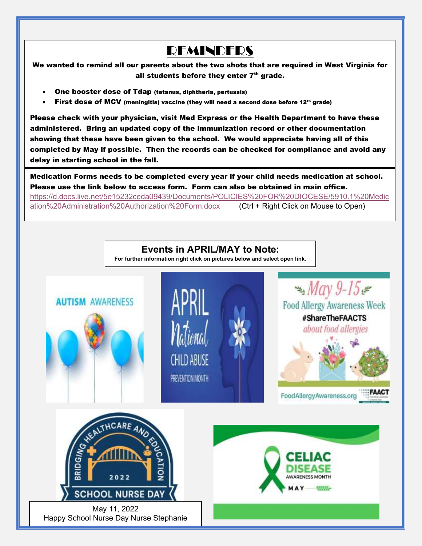# REMINDERS

We wanted to remind all our parents about the two shots that are required in West Virginia for all students before they enter  $7<sup>th</sup>$  grade.

- One booster dose of Tdap (tetanus, diphtheria, pertussis)
- First dose of MCV (meningitis) vaccine (they will need a second dose before 12th grade)

Please check with your physician, visit Med Express or the Health Department to have these administered. Bring an updated copy of the immunization record or other documentation showing that these have been given to the school. We would appreciate having all of this completed by May if possible. Then the records can be checked for compliance and avoid any delay in starting school in the fall.

Medication Forms needs to be completed every year if your child needs medication at school. Please use the link below to access form. Form can also be obtained in main office. [https://d.docs.live.net/5e15232ceda09439/Documents/POLICIES%20FOR%20DIOCESE/5910.1%20Medic](https://d.docs.live.net/5e15232ceda09439/Documents/POLICIES%20FOR%20DIOCESE/5910.1%20Medication%20Administration%20Authorization%20Form.docx) [ation%20Administration%20Authorization%20Form.docx](https://d.docs.live.net/5e15232ceda09439/Documents/POLICIES%20FOR%20DIOCESE/5910.1%20Medication%20Administration%20Authorization%20Form.docx) (Ctrl + Right Click on Mouse to Open)

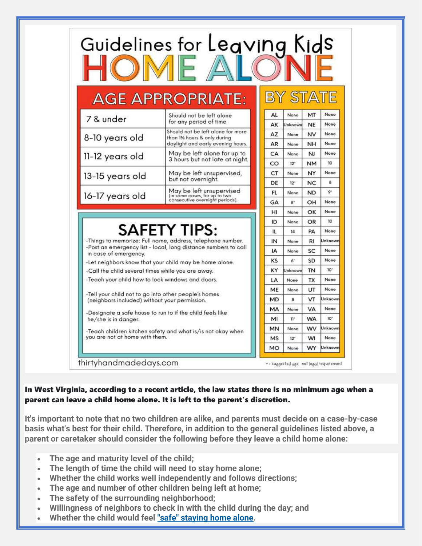|                                                                                                       | Guidelines for Leaving Kids                                                                             |           |                         |                  |                 |
|-------------------------------------------------------------------------------------------------------|---------------------------------------------------------------------------------------------------------|-----------|-------------------------|------------------|-----------------|
|                                                                                                       | <b>AGE APPROPRIATE:</b>                                                                                 |           | BY STAT                 |                  |                 |
| 7 & under                                                                                             | Should not be left alone<br>for any period of time                                                      | AL<br>АΚ  | None<br>Unknown         | MT<br><b>NE</b>  | None<br>None    |
| 8-10 years old                                                                                        | Should not be left alone for more<br>than 11/2 hours & only during<br>daylight and early evening hours. | AZ<br>AR  | None<br>None            | NV<br><b>NH</b>  | None<br>None    |
| 11-12 years old                                                                                       | May be left alone for up to<br>3 hours but not late at night.                                           | CA        | None                    | NJ               | None<br>10      |
| 13-15 years old                                                                                       | May be left unsupervised,<br>but not overnight.                                                         | CO<br>CT  | 12 <sup>°</sup><br>None | <b>NM</b><br>NY  | None            |
| 16-17 years old                                                                                       | May be left unsupervised<br>(in some cases, for up to two<br>consecutive overnight periods).            | DE<br>FL. | $12^{\circ}$<br>None    | NC.<br><b>ND</b> | 8<br>ò.         |
|                                                                                                       |                                                                                                         | GΑ        | 8'                      | OH               | None            |
|                                                                                                       |                                                                                                         | н<br>ID   | None<br>None            | OK<br>OR         | None<br>10      |
|                                                                                                       | <b>SAFETY TIPS:</b>                                                                                     | IL        | 14                      | PA               | None            |
|                                                                                                       | -Things to memorize: Full name, address, telephone number.                                              | IN        | None                    | RI.              | Unknowr         |
| -Post an emergency list - local, long distance numbers to call                                        |                                                                                                         | IA        | None                    | SC               | None            |
| in case of emergency.<br>-Let neighbors know that your child may be home alone.                       |                                                                                                         | KS        | $A^4$                   | SD               | None            |
| -Call the child several times while you are away.                                                     |                                                                                                         | ΚY        | Unknown                 | TN               | 10 <sup>1</sup> |
| -Teach your child how to lock windows and doors.                                                      |                                                                                                         | LA        | None                    | <b>TX</b>        | None            |
|                                                                                                       |                                                                                                         | ME        | None                    | UT               | None            |
| -Tell your child not to go into other people's homes<br>(neighbors included) without your permission. |                                                                                                         | MD        | a                       | VT               | Unknown         |
|                                                                                                       | -Designate a safe house to run to if the child feels like                                               | MA        | None                    | <b>VA</b>        | None            |
| he/she is in danger.                                                                                  |                                                                                                         | MI        | $\Pi^*$                 | <b>WA</b>        | 10'             |
| -Teach children kitchen safety and what is/is not okay when                                           |                                                                                                         | MN        | None                    | wv               | Unknown         |
| you are not at home with them.                                                                        |                                                                                                         | <b>MS</b> | $12 -$                  | WI               | None            |
|                                                                                                       |                                                                                                         | <b>MO</b> | None                    | <b>WY</b>        | Unknown         |

#### In West Virginia, according to a recent article, the law states there is no minimum age when a parent can leave a child home alone. It is left to the parent's discretion.

**It's important to note that no two children are alike, and parents must decide on a case-by-case basis what's best for their child. Therefore, in addition to the general guidelines listed above, a parent or caretaker should consider the following before they leave a child home alone:**

- **The age and maturity level of the child;**
- **The length of time the child will need to stay home alone;**
- **Whether the child works well independently and follows directions;**
- **The age and number of other children being left at home;**
- **The safety of the surrounding neighborhood;**
- **Willingness of neighbors to check in with the child during the day; and**
- **Whether the child would feel ["safe" staying home alone.](https://www.findlaw.com/family/parental-rights-and-liability/ten-things-to-think-about-preventing-childhood-injuries.html)**